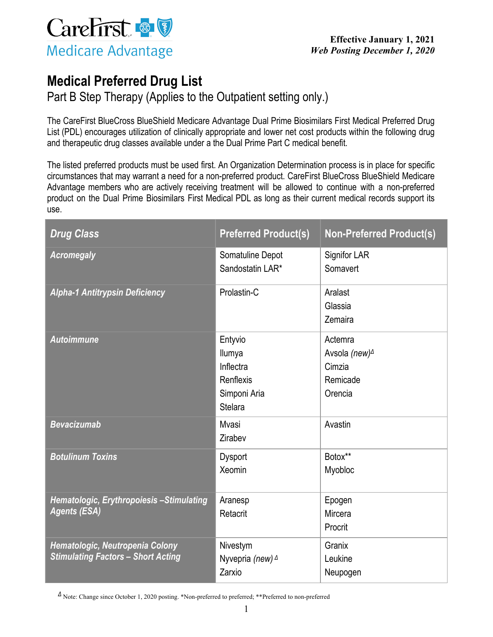

## **Medical Preferred Drug List**

Part B Step Therapy (Applies to the Outpatient setting only.)

The CareFirst BlueCross BlueShield Medicare Advantage Dual Prime Biosimilars First Medical Preferred Drug List (PDL) encourages utilization of clinically appropriate and lower net cost products within the following drug and therapeutic drug classes available under a the Dual Prime Part C medical benefit.

The listed preferred products must be used first. An Organization Determination process is in place for specific circumstances that may warrant a need for a non-preferred product. CareFirst BlueCross BlueShield Medicare Advantage members who are actively receiving treatment will be allowed to continue with a non-preferred product on the Dual Prime Biosimilars First Medical PDL as long as their current medical records support its use.

| <b>Drug Class</b>                                                            | <b>Preferred Product(s)</b>                                                   | <b>Non-Preferred Product(s)</b>                                                            |
|------------------------------------------------------------------------------|-------------------------------------------------------------------------------|--------------------------------------------------------------------------------------------|
| <b>Acromegaly</b>                                                            | Somatuline Depot<br>Sandostatin LAR*                                          | <b>Signifor LAR</b><br>Somavert                                                            |
| <b>Alpha-1 Antitrypsin Deficiency</b>                                        | Prolastin-C                                                                   | Aralast<br>Glassia<br>Zemaira                                                              |
| <b>Autoimmune</b>                                                            | Entyvio<br>Ilumya<br>Inflectra<br>Renflexis<br>Simponi Aria<br><b>Stelara</b> | Actemra<br>Avsola (new) <sup><math>\triangle</math></sup><br>Cimzia<br>Remicade<br>Orencia |
| <b>Bevacizumab</b>                                                           | Mvasi<br>Zirabev                                                              | Avastin                                                                                    |
| <b>Botulinum Toxins</b>                                                      | <b>Dysport</b><br>Xeomin                                                      | Botox**<br>Myobloc                                                                         |
| Hematologic, Erythropoiesis-Stimulating<br><b>Agents (ESA)</b>               | Aranesp<br>Retacrit                                                           | Epogen<br>Mircera<br>Procrit                                                               |
| Hematologic, Neutropenia Colony<br><b>Stimulating Factors - Short Acting</b> | Nivestym<br>Nyvepria (new) 4<br>Zarxio                                        | Granix<br>Leukine<br>Neupogen                                                              |

*Δ* Note: Change since October 1, 2020 posting. \*Non-preferred to preferred; \*\*Preferred to non-preferred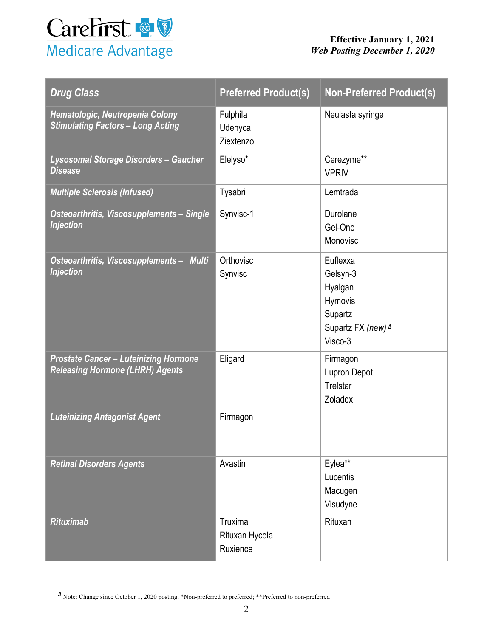

| <b>Drug Class</b>                                                                      | <b>Preferred Product(s)</b>           | <b>Non-Preferred Product(s)</b>                                                        |
|----------------------------------------------------------------------------------------|---------------------------------------|----------------------------------------------------------------------------------------|
| Hematologic, Neutropenia Colony<br><b>Stimulating Factors - Long Acting</b>            | Fulphila<br>Udenyca<br>Ziextenzo      | Neulasta syringe                                                                       |
| Lysosomal Storage Disorders - Gaucher<br><b>Disease</b>                                | Elelyso*                              | Cerezyme**<br><b>VPRIV</b>                                                             |
| <b>Multiple Sclerosis (Infused)</b>                                                    | Tysabri                               | Lemtrada                                                                               |
| Osteoarthritis, Viscosupplements - Single<br><b>Injection</b>                          | Synvisc-1                             | Durolane<br>Gel-One<br>Monovisc                                                        |
| Osteoarthritis, Viscosupplements - Multi<br><b>Injection</b>                           | Orthovisc<br>Synvisc                  | Euflexxa<br>Gelsyn-3<br>Hyalgan<br>Hymovis<br>Supartz<br>Supartz FX (new) 4<br>Visco-3 |
| <b>Prostate Cancer - Luteinizing Hormone</b><br><b>Releasing Hormone (LHRH) Agents</b> | Eligard                               | Firmagon<br><b>Lupron Depot</b><br>Trelstar<br>Zoladex                                 |
| <b>Luteinizing Antagonist Agent</b>                                                    | Firmagon                              |                                                                                        |
| <b>Retinal Disorders Agents</b>                                                        | Avastin                               | Eylea**<br>Lucentis<br>Macugen<br>Visudyne                                             |
| <b>Rituximab</b>                                                                       | Truxima<br>Rituxan Hycela<br>Ruxience | Rituxan                                                                                |

 $\Delta$  Note: Change since October 1, 2020 posting. \*Non-preferred to preferred; \*\*Preferred to non-preferred